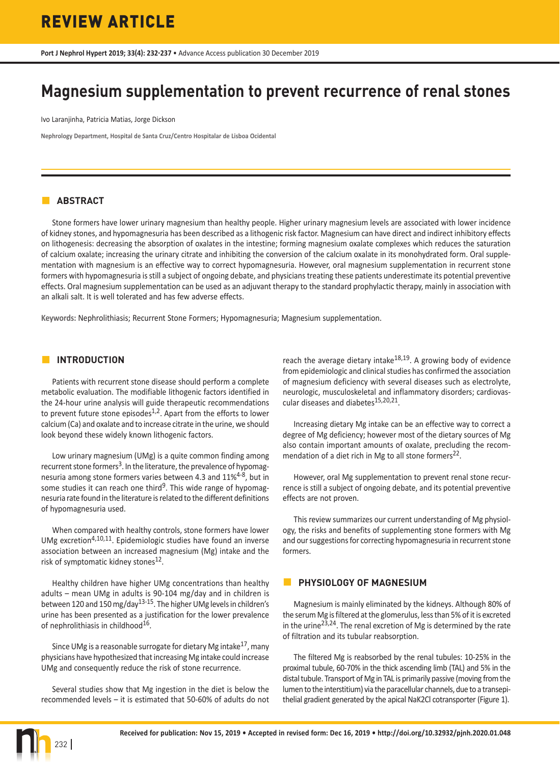**Port J Nephrol Hypert 2019; 33(4): 232-237** • Advance Access publication 30 December 2019

# **Magnesium supplementation to prevent recurrence of renal stones**

Ivo Laranjinha, Patricia Matias, Jorge Dickson

**Nephrology Department, Hospital de Santa Cruz/Centro Hospitalar de Lisboa Ocidental**

# **ABSTRACT**

Stone formers have lower urinary magnesium than healthy people. Higher urinary magnesium levels are associated with lower incidence of kidney stones, and hypomagnesuria has been described as a lithogenic risk factor. Magnesium can have direct and indirect inhibitory effects on lithogenesis: decreasing the absorption of oxalates in the intestine; forming magnesium oxalate complexes which reduces the saturation of calcium oxalate; increasing the urinary citrate and inhibiting the conversion of the calcium oxalate in its monohydrated form. Oral supplementation with magnesium is an effective way to correct hypomagnesuria. However, oral magnesium supplementation in recurrent stone formers with hypomagnesuria is still a subject of ongoing debate, and physicians treating these patients underestimate its potential preventive effects. Oral magnesium supplementation can be used as an adjuvant therapy to the standard prophylactic therapy, mainly in association with an alkali salt. It is well tolerated and has few adverse effects.

**Keywords:** Nephrolithiasis; Recurrent Stone Formers; Hypomagnesuria; Magnesium supplementation.

# **INTRODUCTION**

Patients with recurrent stone disease should perform a complete metabolic evaluation. The modifiable lithogenic factors identified in the 24 -hour urine analysis will guide therapeutic recommendations to prevent future stone episodes $1,2$ . Apart from the efforts to lower calcium (Ca) and oxalate and to increase citrate in the urine, we should look beyond these widely known lithogenic factors.

Low urinary magnesium (UMg) is a quite common finding among recurrent stone formers<sup>3</sup>. In the literature, the prevalence of hypomagnesuria among stone formers varies between 4.3 and 11%4-8, but in some studies it can reach one third<sup>9</sup>. This wide range of hypomagnesuria rate found in the literature is related to the different definitions of hypomagnesuria used.

When compared with healthy controls, stone formers have lower UMg excretion4,10,11. Epidemiologic studies have found an inverse association between an increased magnesium (Mg) intake and the risk of symptomatic kidney stones<sup>12</sup>.

Healthy children have higher UMg concentrations than healthy adults – mean UMg in adults is 90-104 mg/day and in children is between 120 and 150 mg/day<sup>13-15</sup>. The higher UMg levels in children's urine has been presented as a justification for the lower prevalence of nephrolithiasis in childhood<sup>16</sup>.

Since UMg is a reasonable surrogate for dietary Mg intake<sup>17</sup>, many physicians have hypothesized that increasing Mg intake could increase UMg and consequently reduce the risk of stone recurrence.

Several studies show that Mg ingestion in the diet is below the recommended levels – it is estimated that 50-60% of adults do not

reach the average dietary intake $18,19$ . A growing body of evidence from epidemiologic and clinical studies has confirmed the association of magnesium deficiency with several diseases such as electrolyte, neurologic, musculoskeletal and inflammatory disorders; cardiovascular diseases and diabetes<sup>15,20,21</sup>.

Increasing dietary Mg intake can be an effective way to correct a degree of Mg deficiency; however most of the dietary sources of Mg also contain important amounts of oxalate, precluding the recommendation of a diet rich in Mg to all stone formers<sup>22</sup>.

However, oral Mg supplementation to prevent renal stone recurrence is still a subject of ongoing debate, and its potential preventive effects are not proven.

This review summarizes our current understanding of Mg physiology, the risks and benefits of supplementing stone formers with Mg and our suggestions for correcting hypomagnesuria in recurrent stone formers.

# **PHYSIOLOGY OF MAGNESIUM**

Magnesium is mainly eliminated by the kidneys. Although 80% of the serum Mg is filtered at the glomerulus, less than 5% of it is excreted in the urine<sup>23,24</sup>. The renal excretion of Mg is determined by the rate of filtration and its tubular reabsorption.

The filtered Mg is reabsorbed by the renal tubules: 10-25% in the proximal tubule, 60-70% in the thick ascending limb (TAL) and 5% in the distal tubule. Transport of Mg in TAL is primarily passive (moving from the lumen to the interstitium) via the paracellular channels, due to a transepithelial gradient generated by the apical NaK2Cl cotransporter (Figure 1).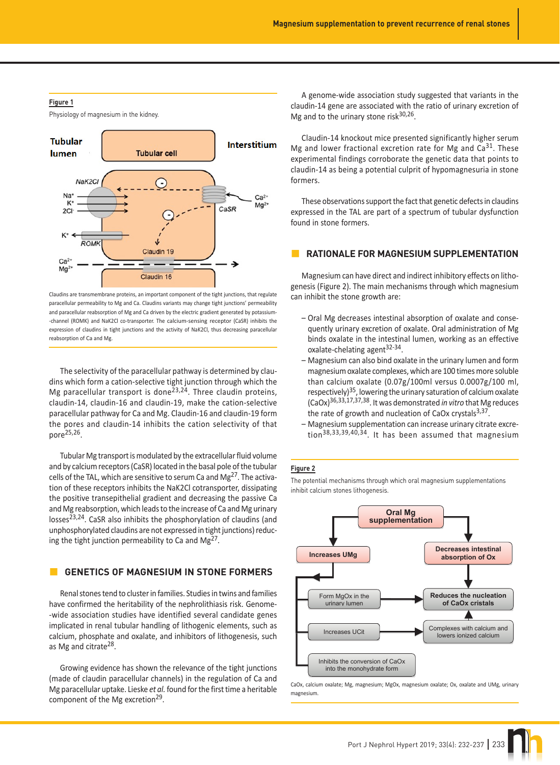## **Figure 1**

Physiology of magnesium in the kidney.



Claudins are transmembrane proteins, an important component of the tight junctions, that regulate paracellular permeability to Mg and Ca. Claudins variants may change tight junctions' permeability and paracellular reabsorption of Mg and Ca driven by the electric gradient generated by potassium ‑channel (ROMK) and NaK2Cl co‑transporter. The [calcium‑sensing receptor](https://www.sciencedirect.com/topics/medicine-and-dentistry/calcium-sensing-receptor) (CaSR) inhibits the expression of claudins in tight junctions and the activity of NaK2Cl, thus decreasing paracellular reabsorption of Ca and Mg.

The selectivity of the paracellular pathway is determined by claudins which form a cation-selective tight junction through which the Mg paracellular transport is done<sup> $23,24$ </sup>. Three claudin proteins, claudin-14, claudin-16 and claudin-19, make the cation-selective paracellular pathway for Ca and Mg. Claudin‑16 and claudin‑19 form the pores and claudin-14 inhibits the cation selectivity of that pore<sup>25,26</sup>.

Tubular Mg transport is modulated by the extracellular fluid volume and by calcium receptors (CaSR) located in the basal pole of the tubular cells of the TAL, which are sensitive to serum Ca and Mg<sup>27</sup>. The activation of these receptors inhibits the NaK2Cl cotransporter, dissipating the positive transepithelial gradient and decreasing the passive Ca and Mg reabsorption, which leads to the increase of Ca and Mg urinary losses $^{23,24}$ . CaSR also inhibits the phosphorylation of claudins (and unphosphorylated claudins are not expressed in tight junctions) reducing the tight junction permeability to Ca and  $Mg^{27}$ .

# **GENETICS OF MAGNESIUM IN STONE FORMERS**

Renal stones tend to cluster in families. Studies in twins and families have confirmed the heritability of the nephrolithiasis risk. Genome-‑wide association studies have identified several candidate genes implicated in renal tubular handling of lithogenic elements, such as calcium, phosphate and oxalate, and inhibitors of lithogenesis, such as Mg and citrate<sup>28</sup>.

Growing evidence has shown the relevance of the tight junctions (made of claudin paracellular channels) in the regulation of Ca and Mg paracellular uptake. Lieske *et al.* found for the first time a heritable component of the Mg excretion<sup>29</sup>.

A genome‑wide association study suggested that variants in the claudin‑14 gene are associated with the ratio of urinary excretion of Mg and to the urinary stone risk $30,26$ .

Claudin‑14 knockout mice presented significantly higher serum Mg and lower fractional excretion rate for Mg and  $Ca<sup>31</sup>$ . These experimental findings corroborate the genetic data that points to claudin‑14 as being a potential culprit of hypomagnesuria in stone formers.

These observations support the fact that genetic defects in claudins expressed in the TAL are part of a spectrum of tubular dysfunction found in stone formers.

# **RATIONALE FOR MAGNESIUM SUPPLEMENTATION**

Magnesium can have direct and indirect inhibitory effects on lithogenesis (Figure 2). The main mechanisms through which magnesium can inhibit the stone growth are:

- Oral Mg decreases intestinal absorption of oxalate and conse‑ quently urinary excretion of oxalate. Oral administration of Mg binds oxalate in the intestinal lumen, working as an effective oxalate-chelating agent<sup>32-34</sup>.
- Magnesium can also bind oxalate in the urinary lumen and form magnesium oxalate complexes, which are 100 times more soluble than calcium oxalate (0.07g/100ml versus 0.0007g/100 ml, respectively)<sup>35</sup>, lowering the urinary saturation of calcium oxalate (CaOx)36,33,17,37,38. It was demonstrated *in vitro* that Mg reduces the rate of growth and nucleation of CaOx crystals $3,37$ .
- Magnesium supplementation can increase urinary citrate excre‑ tion38,33,39,40,34. It has been assumed that magnesium

#### **Figure 2**

The potential mechanisms through which oral magnesium supplementations inhibit calcium stones lithogenesis.



CaOx, calcium oxalate; Mg, magnesium; MgOx, magnesium oxalate; Ox, oxalate and UMg, urinary magnesium. CaOx, calcium oxalate; Mg, magnesium; MgOx, magnesium oxalate; Ox, oxalate and UMg,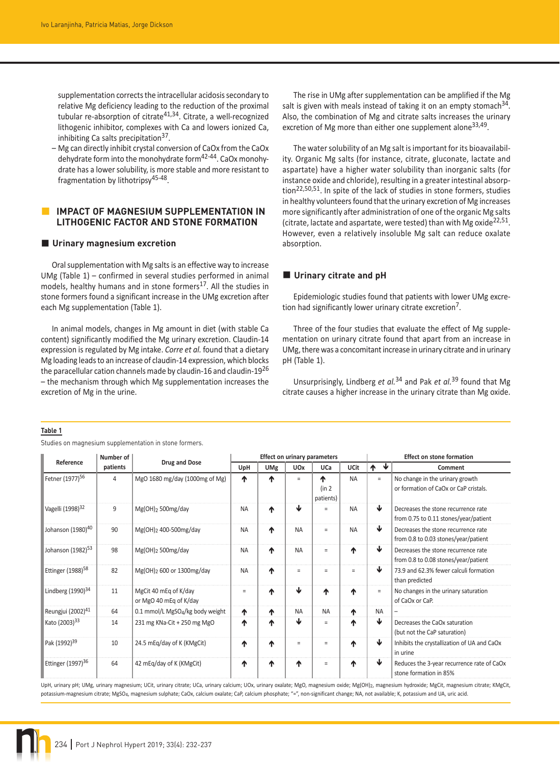supplementation corrects the intracellular acidosis secondary to relative Mg deficiency leading to the reduction of the proximal tubular re-absorption of citrate<sup>41,34</sup>. Citrate, a well-recognized lithogenic inhibitor, complexes with Ca and lowers ionized Ca, inhibiting Ca salts precipitation<sup>37</sup>.

– Mg can directly inhibit crystal conversion of CaOx from the CaOx dehydrate form into the monohydrate form<sup>42-44</sup>. CaOx monohydrate has a lower solubility, is more stable and more resistant to fragmentation by lithotripsy45-48.

## **IMPACT OF MAGNESIUM SUPPLEMENTATION IN LITHOGENIC FACTOR AND STONE FORMATION**

#### **Urinary magnesium excretion**

Oral supplementation with Mg salts is an effective way to increase UMg (Table 1) – confirmed in several studies performed in animal models, healthy humans and in stone formers $^{17}$ . All the studies in stone formers found a significant increase in the UMg excretion after each Mg supplementation (Table 1).

In animal models, changes in Mg amount in diet (with stable Ca content) significantly modified the Mg urinary excretion. Claudin-14 expression is regulated by Mg intake. *Corre et al.* found that a dietary Mg loading leads to an increase of claudin -14 expression, which blocks the paracellular cation channels made by claudin-16 and claudin-19<sup>26</sup> – the mechanism through which Mg supplementation increases the excretion of Mg in the urine.

The rise in UMg after supplementation can be amplified if the Mg salt is given with meals instead of taking it on an empty stomach $34$ . Also, the combination of Mg and citrate salts increases the urinary excretion of Mg more than either one supplement alone<sup>33,49</sup>.

The water solubility of an Mg salt is important for its bioavailability. Organic Mg salts (for instance, citrate, gluconate, lactate and aspartate) have a higher water solubility than inorganic salts (for instance oxide and chloride), resulting in a greater intestinal absorption<sup>22,50,51</sup>. In spite of the lack of studies in stone formers, studies in healthy volunteers found that the urinary excretion of Mg increases more significantly after administration of one of the organic Mg salts (citrate, lactate and aspartate, were tested) than with Mg oxide<sup>22,51</sup>. However, even a relatively insoluble Mg salt can reduce oxalate absorption.

## **Urinary citrate and pH**

Epidemiologic studies found that patients with lower UMg excretion had significantly lower urinary citrate excretion<sup>7</sup>.

Three of the four studies that evaluate the effect of Mg supplementation on urinary citrate found that apart from an increase in UMg, there was a concomitant increase in urinary citrate and in urinary pH (Table 1).

Unsurprisingly, Lindberg *et al.*34 and Pak *et al.*39 found that Mg citrate causes a higher increase in the urinary citrate than Mg oxide.

#### **Table 1**

Studies on magnesium supplementation in stone formers.

| Reference                     | Number of<br>patients | Drug and Dose                                   | <b>Effect on urinary parameters</b> |            |            |                          |           | <b>Effect on stone formation</b> |           |                                                                              |
|-------------------------------|-----------------------|-------------------------------------------------|-------------------------------------|------------|------------|--------------------------|-----------|----------------------------------|-----------|------------------------------------------------------------------------------|
|                               |                       |                                                 | UpH                                 | <b>UMg</b> | <b>UOx</b> | UCa                      | UCit      | ₳.                               | ₩         | Comment                                                                      |
| Fetner (1977) <sup>56</sup>   | $\overline{4}$        | MgO 1680 mg/day (1000mg of Mg)                  | ↑                                   | 个          | $\equiv$   | ₳<br>(in 2)<br>patients) | <b>NA</b> |                                  | $=$       | No change in the urinary growth<br>or formation of CaOx or CaP cristals.     |
| Vagelli (1998) <sup>32</sup>  | 9                     | Mg(OH)2 500mg/day                               | <b>NA</b>                           | 个          | ↓          | $=$                      | <b>NA</b> |                                  | ↓         | Decreases the stone recurrence rate<br>from 0.75 to 0.11 stones/year/patient |
| Johanson (1980) <sup>40</sup> | 90                    | Mg(OH) <sub>2</sub> 400-500mg/day               | <b>NA</b>                           | 个          | <b>NA</b>  | $=$                      | <b>NA</b> |                                  | ₩         | Decreases the stone recurrence rate<br>from 0.8 to 0.03 stones/year/patient  |
| Johanson (1982) <sup>53</sup> | 98                    | $Mg(OH)_2$ 500mg/day                            | <b>NA</b>                           | 个          | <b>NA</b>  | $\equiv$                 | 个         |                                  | ₩         | Decreases the stone recurrence rate<br>from 0.8 to 0.08 stones/year/patient  |
| Ettinger (1988) <sup>58</sup> | 82                    | Mg(OH)2 600 or 1300mg/day                       | <b>NA</b>                           | 个          | $=$        | $=$                      | $\equiv$  |                                  | ₩         | 73.9 and 62.3% fewer calculi formation<br>than predicted                     |
| Lindberg $(1990)^{34}$        | 11                    | MgCit 40 mEg of K/day<br>or MgO 40 mEq of K/day | $=$                                 | 个          | ↓          | ᠰ                        | 个         |                                  | $=$       | No changes in the urinary saturation<br>of CaOx or CaP.                      |
| Reungjui (2002) <sup>41</sup> | 64                    | 0.1 mmol/L MgSO4/kg body weight                 | ተ                                   | 个          | <b>NA</b>  | <b>NA</b>                | 个         |                                  | <b>NA</b> |                                                                              |
| Kato (2003) <sup>33</sup>     | 14                    | 231 mg KNa-Cit + 250 mg MgO                     | ተ                                   | 个          | ↓          | $=$                      | 个         |                                  | ₩         | Decreases the CaOx saturation<br>(but not the CaP saturation)                |
| Pak (1992) <sup>39</sup>      | 10                    | 24.5 mEq/day of K (KMgCit)                      | ሳ                                   | 个          | $=$        | $\equiv$                 | 个         |                                  | ₩         | Inhibits the crystallization of UA and CaOx<br>in urine                      |
| Ettinger (1997) <sup>36</sup> | 64                    | 42 mEq/day of K (KMgCit)                        | ተ                                   | 个          | ₳          | $\equiv$                 | 个         |                                  | ₩         | Reduces the 3-year recurrence rate of CaOx<br>stone formation in 85%         |

UpH, urinary pH; UMg, urinary magnesium; UCit, urinary citrate; UCa, urinary calcium; UOx, urinary oxalate; MgO, magnesium oxide; Mg(OH)<sub>2</sub>, magnesium hydroxide; MgCit, magnesium citrate; KMgCit, potassium-magnesium citrate; MgSO<sub>4</sub>, magnesium sulphate; CaOx, calcium oxalate; CaP, calcium phosphate; "=", non-significant change; NA, not available; K, potassium and UA, uric acid.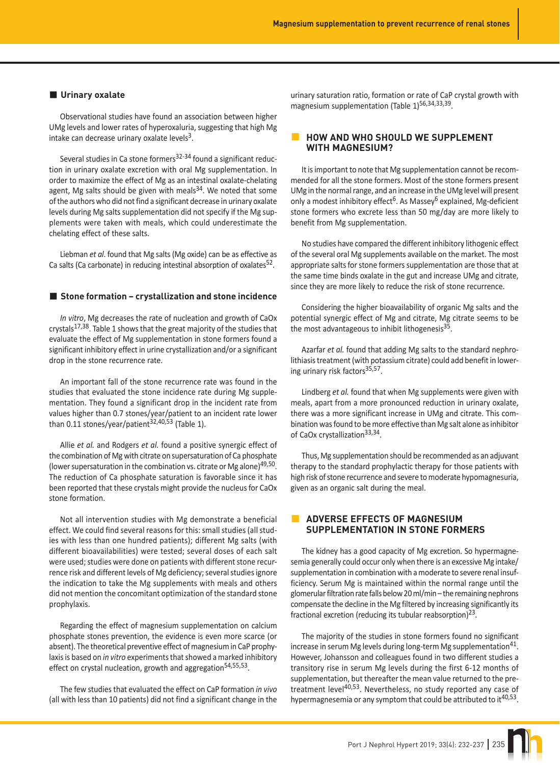## **Urinary oxalate**

Observational studies have found an association between higher UMg levels and lower rates of hyperoxaluria, suggesting that high Mg intake can decrease urinary oxalate levels $3$ .

Several studies in Ca stone formers<sup>32-34</sup> found a significant reduction in urinary oxalate excretion with oral Mg supplementation. In order to maximize the effect of Mg as an intestinal oxalate -chelating agent, Mg salts should be given with meals<sup>34</sup>. We noted that some of the authors who did not find a significant decrease in urinary oxalate levels during Mg salts supplementation did not specify if the Mg supplements were taken with meals, which could underestimate the chelating effect of these salts.

Liebman *et al*. found that Mg salts (Mg oxide) can be as effective as Ca salts (Ca carbonate) in reducing intestinal absorption of oxalates $52$ .

#### **Stone formation – crystallization and stone incidence**

*In vitro*, Mg decreases the rate of nucleation and growth of CaOx crystals<sup>17,38</sup>. Table 1 shows that the great majority of the studies that evaluate the effect of Mg supplementation in stone formers found a significant inhibitory effect in urine crystallization and/or a significant drop in the stone recurrence rate.

An important fall of the stone recurrence rate was found in the studies that evaluated the stone incidence rate during Mg supplementation. They found a significant drop in the incident rate from values higher than 0.7 stones/year/patient to an incident rate lower than 0.11 stones/year/patient $32,40,53$  (Table 1).

Allie *et al.* and Rodgers *et al.* found a positive synergic effect of the combination of Mg with citrate on supersaturation of Ca phosphate (lower supersaturation in the combination vs. citrate or Mg alone) $49,50$ . The reduction of Ca phosphate saturation is favorable since it has been reported that these crystals might provide the nucleus for CaOx stone formation.

Not all intervention studies with Mg demonstrate a beneficial effect. We could find several reasons for this: small studies (all studies with less than one hundred patients); different Mg salts (with different bioavailabilities) were tested; several doses of each salt were used; studies were done on patients with different stone recurrence risk and different levels of Mg deficiency; several studies ignore the indication to take the Mg supplements with meals and others did not mention the concomitant optimization of the standard stone prophylaxis.

Regarding the effect of magnesium supplementation on calcium phosphate stones prevention, the evidence is even more scarce (or absent). The theoretical preventive effect of magnesium in CaP prophylaxis is based on *in vitro* experiments that showed a marked inhibitory effect on crystal nucleation, growth and aggregation<sup>54,55,53</sup>.

The few studies that evaluated the effect on CaP formation *in vivo*  (all with less than 10 patients) did not find a significant change in the urinary saturation ratio, formation or rate of CaP crystal growth with magnesium supplementation (Table 1)<sup>56,34,33,39</sup>.

## **HOW AND WHO SHOULD WE SUPPLEMENT WITH MAGNESIUM?**

It is important to note that Mg supplementation cannot be recommended for all the stone formers. Most of the stone formers present UMg in the normal range, and an increase in the UMg level will present only a modest inhibitory effect<sup>6</sup>. As Massey<sup>6</sup> explained, Mg-deficient stone formers who excrete less than 50 mg/day are more likely to benefit from Mg supplementation.

No studies have compared the different inhibitory lithogenic effect of the several oral Mg supplements available on the market. The most appropriate salts for stone formers supplementation are those that at the same time binds oxalate in the gut and increase UMg and citrate, since they are more likely to reduce the risk of stone recurrence.

Considering the higher bioavailability of organic Mg salts and the potential synergic effect of Mg and citrate, Mg citrate seems to be the most advantageous to inhibit lithogenesis $35$ .

Azarfar *et al.* found that adding Mg salts to the standard nephrolithiasis treatment (with potassium citrate) could add benefit in lowering urinary risk factors<sup>35,57</sup>.

Lindberg *et al.* found that when Mg supplements were given with meals, apart from a more pronounced reduction in urinary oxalate, there was a more significant increase in UMg and citrate. This combination was found to be more effective than Mg salt alone as inhibitor of CaOx crystallization<sup>33,34</sup>.

Thus, Mg supplementation should be recommended as an adjuvant therapy to the standard prophylactic therapy for those patients with high risk of stone recurrence and severe to moderate hypomagnesuria, given as an organic salt during the meal.

## **ADVERSE EFFECTS OF MAGNESIUM SUPPLEMENTATION IN STONE FORMERS**

The kidney has a good capacity of Mg excretion. So hypermagnesemia generally could occur only when there is an excessive Mg intake/ supplementation in combination with a moderate to severe renal insufficiency. Serum Mg is maintained within the normal range until the glomerular filtration rate falls below 20 ml/min – the remaining nephrons compensate the decline in the Mg filtered by increasing significantly its fractional excretion (reducing its tubular reabsorption) $^{23}$ .

The majority of the studies in stone formers found no significant increase in serum Mg levels during long-term Mg supplementation<sup>41</sup>. However, Johansson and colleagues found in two different studies a transitory rise in serum Mg levels during the first 6-12 months of supplementation, but thereafter the mean value returned to the pretreatment level<sup>40,53</sup>. Nevertheless, no study reported any case of hypermagnesemia or any symptom that could be attributed to it $40,53$ .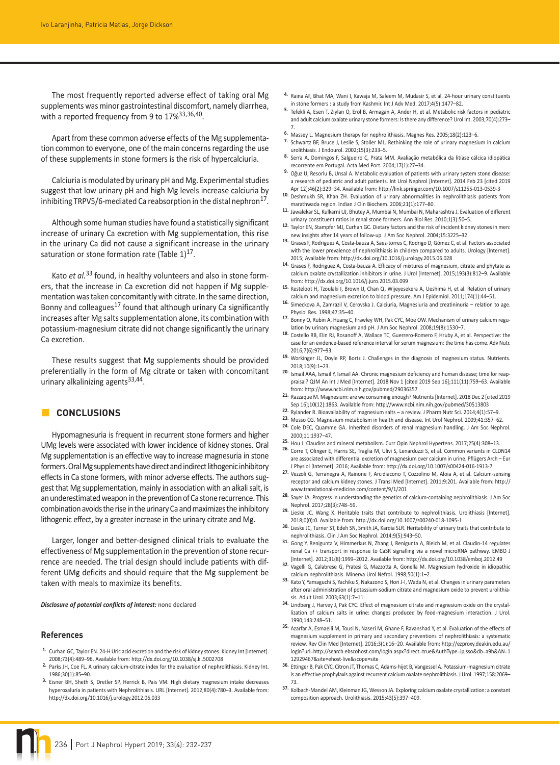The most frequently reported adverse effect of taking oral Mg supplements was minor gastrointestinal discomfort, namely diarrhea, with a reported frequency from 9 to 17%<sup>33,36,40</sup>.

Apart from these common adverse effects of the Mg supplementation common to everyone, one of the main concerns regarding the use of these supplements in stone formers is the risk of hypercalciuria.

Calciuria is modulated by urinary pH and Mg. Experimental studies suggest that low urinary pH and high Mg levels increase calciuria by inhibiting TRPV5/6-mediated Ca reabsorption in the distal nephron $^{17}$ .

Although some human studies have found a statistically significant increase of urinary Ca excretion with Mg supplementation, this rise in the urinary Ca did not cause a significant increase in the urinary saturation or stone formation rate (Table  $1)^{17}$ .

Kato *et al.*33 found, in healthy volunteers and also in stone formers, that the increase in Ca excretion did not happen if Mg supplementation was taken concomitantly with citrate. In the same direction, Bonny and colleagues<sup>17</sup> found that although urinary Ca significantly increases after Mg salts supplementation alone, its combination with potassium -magnesium citrate did not change significantly the urinary Ca excretion.

These results suggest that Mg supplements should be provided preferentially in the form of Mg citrate or taken with concomitant urinary alkalinizing agents<sup>33,44</sup>.

## **CONCLUSIONS**

Hypomagnesuria is frequent in recurrent stone formers and higher UMg levels were associated with lower incidence of kidney stones. Oral Mg supplementation is an effective way to increase magnesuria in stone formers. Oral Mg supplements have direct and indirect lithogenic inhibitory effects in Ca stone formers, with minor adverse effects. The authors suggest that Mg supplementation, mainly in association with an alkali salt, is an underestimated weapon in the prevention of Ca stone recurrence. This combination avoids the rise in the urinary Ca and maximizes the inhibitory lithogenic effect, by a greater increase in the urinary citrate and Mg.

Larger, longer and better -designed clinical trials to evaluate the effectiveness of Mg supplementation in the prevention of stone recurrence are needed. The trial design should include patients with different UMg deficits and should require that the Mg supplement be taken with meals to maximize its benefits.

*Disclosure of potential conflicts of interest:* none declared

#### **References**

- **1.** Curhan GC, Taylor EN. 24 -H Uric acid excretion and the risk of kidney stones. Kidney Int [Internet]. 2008;73(4):489–96. Available from: http://dx.doi.org/10.1038/sj.ki.5002708
- **2.** Parks JH, Coe FL. A urinary calcium -citrate index for the evaluation of nephrolithiasis. Kidney Int. 1986;30(1):85–90.
- **3.** Eisner BH, Sheth S, Dretler SP, Herrick B, Pais VM. High dietary magnesium intake decreases hyperoxaluria in patients with Nephrolithiasis. URL [Internet]. 2012;80(4):780–3. Available from: http://dx.doi.org/10.1016/j.urology.2012.06.033
- **4.** Raina AF, Bhat MA, Wani I, Kawaja M, Saleem M, Mudasir S, et al. 24 -hour urinary constituents in stone formers : a study from Kashmir. Int J Adv Med. 2017;4(5):1477–82.
- **5.** Tefekli A, Esen T, Ziylan O, Erol B, Armagan A, Ander H, et al. Metabolic risk factors in pediatric and adult calcium oxalate urinary stone formers: Is there any difference? Urol Int. 2003;70(4):273– 7.
- **6.** Massey L. Magnesium therapy for nephrolithiasis. Magnes Res. 2005;18(2):123–6.
- **7.** Schwartz BF, Bruce J, Leslie S, Stoller ML. Rethinking the role of urinary magnesium in calcium urolithiasis. J Endourol. 2002;15(3):233–5.
- **8.** Serra A, Domingos F, Salgueiro C, Prata MM. Avaliação metabólica da litíase cálcica idiopática recorrente em Portugal. Acta Med Port. 2004;17(1):27–34.
- **9.** Oğuz U, Resorlu B, Unsal A. Metabolic evaluation of patients with urinary system stone disease: a research of pediatric and adult patients. Int Urol Nephrol [Internet]. 2014 Feb 23 [cited 2019 Apr 12];46(2):329–34. Available from: http://link.springer.com/10.1007/s11255 -013 -0539 -3
- **10.** Deshmukh SR, Khan ZH. Evaluation of urinary abnormalities in nephrolithiasis patients from marathwada region. Indian J Clin Biochem. 2006;21(1):177–80.
- **11.** Jawalekar SL, Kulkarni UJ, Bhutey A, Mumbai N, Mumbai N, Maharashtra J. Evaluation of different urinary constituent ratios in renal stone formers. Ann Biol Res. 2010;1(3):50–5.
- **12.** Taylor EN, Stampfer MJ, Curhan GC. Dietary factors and the risk of incident kidney stones in men: new insights after 14 years of follow -up. J Am Soc Nephrol. 2004;15:3225–32.
- **13.** Grases F, Rodriguez A, Costa -bauza A, Saez -torres C, Rodrigo D, Gómez C, et al. Factors associated with the lower prevalence of nephrolithiasis in children compared to adults. Urology [Internet]. 2015; Available from: http://dx.doi.org/10.1016/j.urology.2015.06.028
- **14.** Grases F, Rodriguez A, Costa -bauza A. Efficacy of mixtures of magnesium, citrate and phytate as calcium oxalate crystallization inhibitors in urine. J Urol [Internet]. 2015;193(3):812–9. Available from: http://dx.doi.org/10.1016/j.juro.2015.03.099
- **15.** Kesteloot H, Tzoulaki I, Brown IJ, Chan Q, Wijeyesekera A, Ueshima H, et al. Relation of urinary calcium and magnesium excretion to blood pressure. Am J Epidemiol. 2011;174(1):44–51.
- **16.** Simeckova A, Zamrazil V, Cerovska J. Calciuria, Magnesiuria and creatininuria relation to age. Physiol Res. 1998;47:35–40.
- **17.** Bonny O, Rubin A, Huang C, Frawley WH, Pak CYC, Moe OW. Mechanism of urinary calcium regulation by urinary magnesium and pH. J Am Soc Nephrol. 2008;19(8):1530–7.
- **18.** Costello RB, Elin RJ, Rosanoff A, Wallace TC, Guerrero -Romero F, Hruby A, et al. Perspective: the case for an evidence -based reference interval for serum magnesium: the time has come. Adv Nutr. 2016;7(6):977–93.
- **19.** Workinger JL, Doyle RP, Bortz J. Challenges in the diagnosis of magnesium status. Nutrients. 2018;10(9):1–23.
- **20.** Ismail AAA, Ismail Y, Ismail AA. Chronic magnesium deficiency and human disease; time for reappraisal? QJM An Int J Med [Internet]. 2018 Nov 1 [cited 2019 Sep 16];111(11):759–63. Available from: http://www.ncbi.nlm.nih.gov/pubmed/29036357
- **21.** Razzaque M. Magnesium: are we consuming enough? Nutrients [Internet]. 2018 Dec 2 [cited 2019 Sep 16];10(12):1863. Available from: http://www.ncbi.nlm.nih.gov/pubmed/30513803
- **22.** Rylander R. Bioavailability of magnesium salts a review. J Pharm Nutr Sci. 2014;4(1):57–9.
- **23.** Musso CG. Magnesium metabolism in health and disease. Int Urol Nephrol. 2009;41:357–62. **24.** Cole DEC, Quamme GA. Inherited disorders of renal magnesium handling. J Am Soc Nephrol. 2000;11:1937–47.
- **25.** Hou J. Claudins and mineral metabolism. Curr Opin Nephrol Hypertens. 2017;25(4):308–13.
- **26.** Corre T, Olinger E, Harris SE, Traglia M, Ulivi S, Lenarduzzi S, et al. Common variants in CLDN14 are associated with differential excretion of magnesium over calcium in urine. Pflügers Arch – Eur J Physiol [Internet]. 2016; Available from: http://dx.doi.org/10.1007/s00424 -016 -1913 -7
- **27.** Vezzoli G, Terranegra A, Rainone F, Arcidiacono T, Cozzolino M, Aloia A, et al. Calcium -sensing receptor and calcium kidney stones. J Transl Med [Internet]. 2011;9:201. Available from: http:// www.translational -medicine.com/content/9/1/201
- **28.** Sayer JA. Progress in understanding the genetics of calcium -containing nephrolithiasis. J Am Soc Nephrol. 2017;28(3):748–59.
- **29.** Lieske JC, Wang X. Heritable traits that contribute to nephrolithiasis. Urolithiasis [Internet]. 2018;0(0):0. Available from: http://dx.doi.org/10.1007/s00240 -018 -1095 -1
- **30.** Lieske JC, Turner ST, Edeh SN, Smith JA, Kardia SLR. Heritability of urinary traits that contribute to nephrolithiasis. Clin J Am Soc Nephrol. 2014;9(5):943–50.
- **31.** Gong Y, Renigunta V, Himmerkus N, Zhang J, Renigunta A, Bleich M, et al. Claudin -14 regulates renal Ca ++ transport in response to CaSR signalling via a novel microRNA pathway. EMBO J [Internet]. 2012;31(8):1999–2012. Available from: http://dx.doi.org/10.1038/emboj.2012.49
- **32.** Vagelli G, Calabrese G, Pratesi G, Mazzotta A, Gonella M. Magnesium hydroxide in idiopathic calcium nephrolithiasis. Minerva Urol Nefrol. 1998;50(1):1–2.
- **33.** Kato Y, Yamaguchi S, Yachiku S, Nakazono S, Hori J-I, Wada N, et al. Changes in urinary parameters after oral administration of potassium -sodium citrate and magnesium oxide to prevent urolithiasis. Adult Urol. 2003;63(1):7–11.
- **34.** Lindberg J, Harvey J, Pak CYC. Effect of magnesium citrate and magnesium oxide on the crystallization of calcium salts in urine: changes produced by food-magnesium interaction. J Urol. 1990;143:248–51.
- **35.** Azarfar A, Esmaeili M, Tousi N, Naseri M, Ghane F, Ravanshad Y, et al. Evaluation of the effects of magnesium supplement in primary and secondary preventions of nephrolithiasis: a systematic review. Rev Clin Med [Internet]. 2016;3(1):16–20. Available from: http://ezproxy.deakin.edu.au/ login?url=http://search.ebscohost.com/login.aspx?direct=true&AuthType=ip,sso&db=a9h&AN=1 12929467&site=ehost-live&scope=site
- **36.** Ettinger B, Pak CYC, Citron JT, Thomas C, Adams -hijet B, Vangessel A. Potassium -magnesium citrate is an effective prophylaxis against recurrent calcium oxalate nephrolithiasis. J Urol. 1997;158:2069– 73.
- **37.** Kolbach -Mandel AM, Kleinman JG, Wesson JA. Exploring calcium oxalate crystallization: a constant composition approach. Urolithiasis. 2015;43(5):397–409.